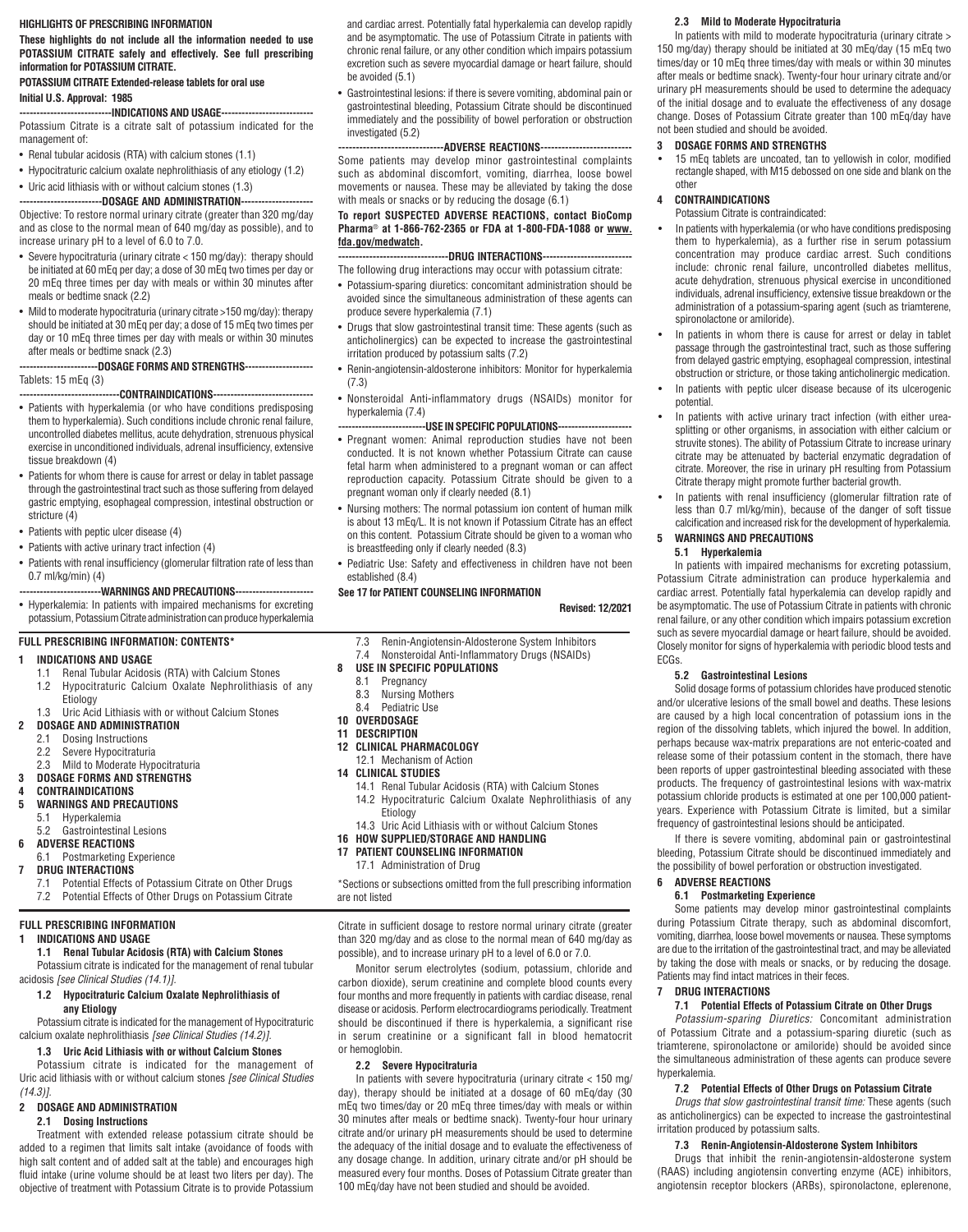#### **HIGHLIGHTS OF PRESCRIBING INFORMATION**

**These highlights do not include all the information needed to use POTASSIUM CITRATE safely and effectively. See full prescribing information for POTASSIUM CITRATE.**

# **POTASSIUM CITRATE Extended-release tablets for oral use Initial U.S. Approval: 1985**

**---------------------------INDICATIONS AND USAGE---------------------------**

Potassium Citrate is a citrate salt of potassium indicated for the management of:

• Renal tubular acidosis (RTA) with calcium stones (1.1)

• Hypocitraturic calcium oxalate nephrolithiasis of any etiology (1.2)

#### • Uric acid lithiasis with or without calcium stones (1.3)

**------------------------DOSAGE AND ADMINISTRATION---------------------** Objective: To restore normal urinary citrate (greater than 320 mg/day and as close to the normal mean of 640 mg/day as possible), and to increase urinary pH to a level of 6.0 to 7.0.

- Severe hypocitraturia (urinary citrate < 150 mg/day): therapy should be initiated at 60 mEq per day; a dose of 30 mEq two times per day or 20 mEq three times per day with meals or within 30 minutes after meals or bedtime snack (2.2)
- Mild to moderate hypocitraturia (urinary citrate >150 mg/day): therapy should be initiated at 30 mEq per day; a dose of 15 mEq two times per day or 10 mEq three times per day with meals or within 30 minutes after meals or bedtime snack (2.3)

## **-----------------------DOSAGE FORMS AND STRENGTHS--------------------** Tablets: 15 mEq (3)

- **-----------------------------CONTRAINDICATIONS-----------------------------** • Patients with hyperkalemia (or who have conditions predisposing them to hyperkalemia). Such conditions include chronic renal failure, uncontrolled diabetes mellitus, acute dehydration, strenuous physical exercise in unconditioned individuals, adrenal insufficiency, extensive tissue breakdown (4)
- Patients for whom there is cause for arrest or delay in tablet passage through the gastrointestinal tract such as those suffering from delayed gastric emptying, esophageal compression, intestinal obstruction or stricture (4)
- Patients with peptic ulcer disease (4)
- Patients with active urinary tract infection (4)
- Patients with renal insufficiency (glomerular filtration rate of less than 0.7 ml/kg/min) (4)
- **------------------------WARNINGS AND PRECAUTIONS-----------------------**
- Hyperkalemia: In patients with impaired mechanisms for excreting potassium, Potassium Citrate administration can produce hyperkalemia

# **FULL PRESCRIBING INFORMATION: CONTENTS\***

### **1 INDICATIONS AND USAGE**

- 1.1 Renal Tubular Acidosis (RTA) with Calcium Stones
- 1.2 Hypocitraturic Calcium Oxalate Nephrolithiasis of any Etiology
- 1.3 Uric Acid Lithiasis with or without Calcium Stones

# **2 DOSAGE AND ADMINISTRATION**

- 2.1 Dosing Instructions
- 2.2 Severe Hypocitraturia
- 2.3 Mild to Moderate Hypocitraturia
- **3 DOSAGE FORMS AND STRENGTHS**

# **4 CONTRAINDICATIONS**

- **5 WARNINGS AND PRECAUTIONS**
	- 5.1 Hyperkalemia<br>5.2 Gastrointestin 5.2 Gastrointestinal Lesions
- **6 ADVERSE REACTIONS**
- 6.1 Postmarketing Experience
- **7 DRUG INTERACTIONS**
	- 7.1 Potential Effects of Potassium Citrate on Other Drugs 7.2 Potential Effects of Other Drugs on Potassium Citrate

# **FULL PRESCRIBING INFORMATION**

# **1 INDICATIONS AND USAGE**

**1.1 Renal Tubular Acidosis (RTA) with Calcium Stones**

# Potassium citrate is indicated for the management of renal tubular acidosis *[see Clinical Studies (14.1)].*

# **1.2 Hypocitraturic Calcium Oxalate Nephrolithiasis of**

# **any Etiology**

Potassium citrate is indicated for the management of Hypocitraturic calcium oxalate nephrolithiasis *[see Clinical Studies (14.2)].* 

## **1.3 Uric Acid Lithiasis with or without Calcium Stones**

Potassium citrate is indicated for the management of Uric acid lithiasis with or without calcium stones *[see Clinical Studies (14.3)].*

# **2 DOSAGE AND ADMINISTRATION**

# **2.1 Dosing Instructions**

Treatment with extended release potassium citrate should be added to a regimen that limits salt intake (avoidance of foods with high salt content and of added salt at the table) and encourages high fluid intake (urine volume should be at least two liters per day). The objective of treatment with Potassium Citrate is to provide Potassium and cardiac arrest. Potentially fatal hyperkalemia can develop rapidly and be asymptomatic. The use of Potassium Citrate in patients with chronic renal failure, or any other condition which impairs potassium excretion such as severe myocardial damage or heart failure, should be avoided (5.1)

• Gastrointestinal lesions: if there is severe vomiting, abdominal pain or gastrointestinal bleeding, Potassium Citrate should be discontinued immediately and the possibility of bowel perforation or obstruction investigated (5.2)

## **------------------------------ADVERSE REACTIONS--------------------------**

Some patients may develop minor gastrointestinal complaints such as abdominal discomfort, vomiting, diarrhea, loose bowel movements or nausea. These may be alleviated by taking the dose with meals or snacks or by reducing the dosage (6.1)

## **To report SUSPECTED ADVERSE REACTIONS, contact BioComp Pharma**® **at 1-866-762-2365 or FDA at 1-800-FDA-1088 or www. fda.gov/medwatch.**

**--------------------------------DRUG INTERACTIONS--------------------------**

- The following drug interactions may occur with potassium citrate:
- Potassium-sparing diuretics: concomitant administration should be avoided since the simultaneous administration of these agents can produce severe hyperkalemia (7.1)
- Drugs that slow gastrointestinal transit time: These agents (such as anticholinergics) can be expected to increase the gastrointestinal irritation produced by potassium salts (7.2)
- Renin-angiotensin-aldosterone inhibitors: Monitor for hyperkalemia (7.3)
- Nonsteroidal Anti-inflammatory drugs (NSAIDs) monitor for hyperkalemia (7.4)

#### ---USE IN SPECIFIC POPULATIONS--

- Pregnant women: Animal reproduction studies have not been conducted. It is not known whether Potassium Citrate can cause fetal harm when administered to a pregnant woman or can affect reproduction capacity. Potassium Citrate should be given to a pregnant woman only if clearly needed (8.1)
- Nursing mothers: The normal potassium ion content of human milk is about 13 mEq/L. It is not known if Potassium Citrate has an effect on this content. Potassium Citrate should be given to a woman who is breastfeeding only if clearly needed (8.3)
- Pediatric Use: Safety and effectiveness in children have not been established (8.4)

# **See 17 for PATIENT COUNSELING INFORMATION**

**Revised: 12/2021**

- 7.3 Renin-Angiotensin-Aldosterone System Inhibitors 7.4 Nonsteroidal Anti-Inflammatory Drugs (NSAIDs)
- **8 USE IN SPECIFIC POPULATIONS**
	-
	- 8.1 Pregnancy<br>8.3 Nursing Mo Nursing Mothers
	- 8.4 Pediatric Use
- **10 OVERDOSAGE**
- **11 DESCRIPTION**
- **12 CLINICAL PHARMACOLOGY**

# 12.1 Mechanism of Action

- **14 CLINICAL STUDIES**
- 14.1 Renal Tubular Acidosis (RTA) with Calcium Stones
	- 14.2 Hypocitraturic Calcium Oxalate Nephrolithiasis of any Etiology
- 14.3 Uric Acid Lithiasis with or without Calcium Stones
- **16 HOW SUPPLIED/STORAGE AND HANDLING 17 PATIENT COUNSELING INFORMATION**

# 17.1 Administration of Drug

\*Sections or subsections omitted from the full prescribing information are not listed

Citrate in sufficient dosage to restore normal urinary citrate (greater than 320 mg/day and as close to the normal mean of 640 mg/day as possible), and to increase urinary pH to a level of 6.0 or 7.0.

Monitor serum electrolytes (sodium, potassium, chloride and carbon dioxide), serum creatinine and complete blood counts every four months and more frequently in patients with cardiac disease, renal disease or acidosis. Perform electrocardiograms periodically. Treatment should be discontinued if there is hyperkalemia, a significant rise in serum creatinine or a significant fall in blood hematocrit or hemoglobin.

## **2.2 Severe Hypocitraturia**

In patients with severe hypocitraturia (urinary citrate < 150 mg/ day), therapy should be initiated at a dosage of 60 mEq/day (30 mEq two times/day or 20 mEq three times/day with meals or within 30 minutes after meals or bedtime snack). Twenty-four hour urinary citrate and/or urinary pH measurements should be used to determine the adequacy of the initial dosage and to evaluate the effectiveness of any dosage change. In addition, urinary citrate and/or pH should be measured every four months. Doses of Potassium Citrate greater than 100 mEq/day have not been studied and should be avoided.

### **2.3 Mild to Moderate Hypocitraturia**

In patients with mild to moderate hypocitraturia (urinary citrate > 150 mg/day) therapy should be initiated at 30 mEq/day (15 mEq two times/day or 10 mEq three times/day with meals or within 30 minutes after meals or bedtime snack). Twenty-four hour urinary citrate and/or urinary pH measurements should be used to determine the adequacy of the initial dosage and to evaluate the effectiveness of any dosage change. Doses of Potassium Citrate greater than 100 mEq/day have not been studied and should be avoided.

#### **3 DOSAGE FORMS AND STRENGTHS**

• 15 mEq tablets are uncoated, tan to yellowish in color, modified rectangle shaped, with M15 debossed on one side and blank on the other

#### **4 CONTRAINDICATIONS**

- Potassium Citrate is contraindicated:
- In patients with hyperkalemia (or who have conditions predisposing them to hyperkalemia), as a further rise in serum potassium concentration may produce cardiac arrest. Such conditions include: chronic renal failure, uncontrolled diabetes mellitus, acute dehydration, strenuous physical exercise in unconditioned individuals, adrenal insufficiency, extensive tissue breakdown or the administration of a potassium-sparing agent (such as triamterene, spironolactone or amiloride).
- In patients in whom there is cause for arrest or delay in tablet passage through the gastrointestinal tract, such as those suffering from delayed gastric emptying, esophageal compression, intestinal obstruction or stricture, or those taking anticholinergic medication.
- In patients with peptic ulcer disease because of its ulcerogenic potential.
- In patients with active urinary tract infection (with either ureasplitting or other organisms, in association with either calcium or struvite stones). The ability of Potassium Citrate to increase urinary citrate may be attenuated by bacterial enzymatic degradation of citrate. Moreover, the rise in urinary pH resulting from Potassium Citrate therapy might promote further bacterial growth.
- In patients with renal insufficiency (glomerular filtration rate of less than 0.7 ml/kg/min), because of the danger of soft tissue calcification and increased risk for the development of hyperkalemia.

# **5 WARNINGS AND PRECAUTIONS**

**5.2 Gastrointestinal Lesions**

**6 ADVERSE REACTIONS**

**7 DRUG INTERACTIONS**

hyperkalemia.

**6.1 Postmarketing Experience**

Patients may find intact matrices in their feces.

irritation produced by potassium salts.

# **5.1 Hyperkalemia**

In patients with impaired mechanisms for excreting potassium, Potassium Citrate administration can produce hyperkalemia and cardiac arrest. Potentially fatal hyperkalemia can develop rapidly and be asymptomatic. The use of Potassium Citrate in patients with chronic renal failure, or any other condition which impairs potassium excretion such as severe myocardial damage or heart failure, should be avoided. Closely monitor for signs of hyperkalemia with periodic blood tests and ECGs.

Solid dosage forms of potassium chlorides have produced stenotic and/or ulcerative lesions of the small bowel and deaths. These lesions are caused by a high local concentration of potassium ions in the region of the dissolving tablets, which injured the bowel. In addition, perhaps because wax-matrix preparations are not enteric-coated and release some of their potassium content in the stomach, there have been reports of upper gastrointestinal bleeding associated with these products. The frequency of gastrointestinal lesions with wax-matrix potassium chloride products is estimated at one per 100,000 patientyears. Experience with Potassium Citrate is limited, but a similar

If there is severe vomiting, abdominal pain or gastrointestinal bleeding, Potassium Citrate should be discontinued immediately and the possibility of bowel perforation or obstruction investigated.

Some patients may develop minor gastrointestinal complaints during Potassium Citrate therapy, such as abdominal discomfort, vomiting, diarrhea, loose bowel movements or nausea. These symptoms are due to the irritation of the gastrointestinal tract, and may be alleviated by taking the dose with meals or snacks, or by reducing the dosage.

**7.1 Potential Effects of Potassium Citrate on Other Drugs**  *Potassium-sparing Diuretics:* Concomitant administration of Potassium Citrate and a potassium-sparing diuretic (such as triamterene, spironolactone or amiloride) should be avoided since the simultaneous administration of these agents can produce severe

**7.2 Potential Effects of Other Drugs on Potassium Citrate** *Drugs that slow gastrointestinal transit time:* These agents (such as anticholinergics) can be expected to increase the gastrointestinal

**7.3 Renin-Angiotensin-Aldosterone System Inhibitors** Drugs that inhibit the renin-angiotensin-aldosterone system (RAAS) including angiotensin converting enzyme (ACE) inhibitors, angiotensin receptor blockers (ARBs), spironolactone, eplerenone,

frequency of gastrointestinal lesions should be anticipated.